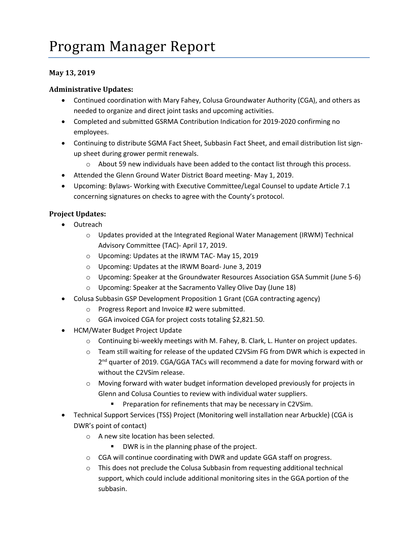## **May 13, 2019**

## **Administrative Updates:**

- Continued coordination with Mary Fahey, Colusa Groundwater Authority (CGA), and others as needed to organize and direct joint tasks and upcoming activities.
- Completed and submitted GSRMA Contribution Indication for 2019-2020 confirming no employees.
- Continuing to distribute SGMA Fact Sheet, Subbasin Fact Sheet, and email distribution list signup sheet during grower permit renewals.
	- o About 59 new individuals have been added to the contact list through this process.
- Attended the Glenn Ground Water District Board meeting- May 1, 2019.
- Upcoming: Bylaws- Working with Executive Committee/Legal Counsel to update Article 7.1 concerning signatures on checks to agree with the County's protocol.

## **Project Updates:**

- Outreach
	- o Updates provided at the Integrated Regional Water Management (IRWM) Technical Advisory Committee (TAC)- April 17, 2019.
	- o Upcoming: Updates at the IRWM TAC- May 15, 2019
	- o Upcoming: Updates at the IRWM Board- June 3, 2019
	- o Upcoming: Speaker at the Groundwater Resources Association GSA Summit (June 5-6)
	- o Upcoming: Speaker at the Sacramento Valley Olive Day (June 18)
- Colusa Subbasin GSP Development Proposition 1 Grant (CGA contracting agency)
	- o Progress Report and Invoice #2 were submitted.
	- o GGA invoiced CGA for project costs totaling \$2,821.50.
- HCM/Water Budget Project Update
	- o Continuing bi-weekly meetings with M. Fahey, B. Clark, L. Hunter on project updates.
	- $\circ$  Team still waiting for release of the updated C2VSim FG from DWR which is expected in 2<sup>nd</sup> quarter of 2019. CGA/GGA TACs will recommend a date for moving forward with or without the C2VSim release.
	- $\circ$  Moving forward with water budget information developed previously for projects in Glenn and Colusa Counties to review with individual water suppliers.
		- **Preparation for refinements that may be necessary in C2VSim.**
- Technical Support Services (TSS) Project (Monitoring well installation near Arbuckle) (CGA is DWR's point of contact)
	- o A new site location has been selected.
		- **DWR** is in the planning phase of the project.
	- o CGA will continue coordinating with DWR and update GGA staff on progress.
	- $\circ$  This does not preclude the Colusa Subbasin from requesting additional technical support, which could include additional monitoring sites in the GGA portion of the subbasin.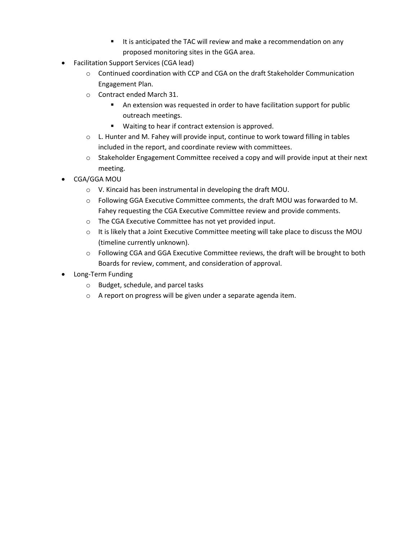- It is anticipated the TAC will review and make a recommendation on any proposed monitoring sites in the GGA area.
- Facilitation Support Services (CGA lead)
	- $\circ$  Continued coordination with CCP and CGA on the draft Stakeholder Communication Engagement Plan.
	- o Contract ended March 31.
		- An extension was requested in order to have facilitation support for public outreach meetings.
		- **Waiting to hear if contract extension is approved.**
	- $\circ$  L. Hunter and M. Fahey will provide input, continue to work toward filling in tables included in the report, and coordinate review with committees.
	- $\circ$  Stakeholder Engagement Committee received a copy and will provide input at their next meeting.
- CGA/GGA MOU
	- o V. Kincaid has been instrumental in developing the draft MOU.
	- o Following GGA Executive Committee comments, the draft MOU was forwarded to M. Fahey requesting the CGA Executive Committee review and provide comments.
	- o The CGA Executive Committee has not yet provided input.
	- $\circ$  It is likely that a Joint Executive Committee meeting will take place to discuss the MOU (timeline currently unknown).
	- $\circ$  Following CGA and GGA Executive Committee reviews, the draft will be brought to both Boards for review, comment, and consideration of approval.
- Long-Term Funding
	- o Budget, schedule, and parcel tasks
	- o A report on progress will be given under a separate agenda item.